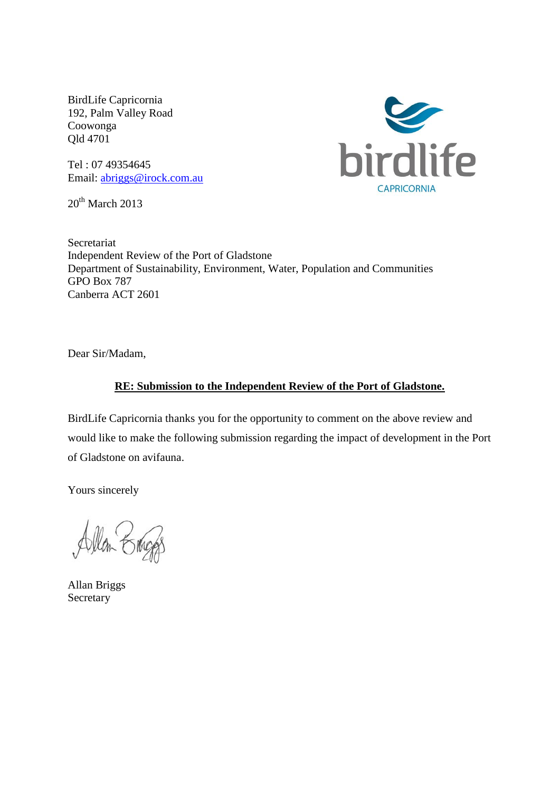BirdLife Capricornia 192, Palm Valley Road Coowonga Qld 4701

Tel : 07 49354645 Email: [abriggs@irock.com.au](mailto:abriggs@irock.com.au)

 $20<sup>th</sup>$  March 2013



Secretariat Independent Review of the Port of Gladstone Department of Sustainability, Environment, Water, Population and Communities GPO Box 787 Canberra ACT 2601

Dear Sir/Madam,

#### **RE: Submission to the Independent Review of the Port of Gladstone.**

BirdLife Capricornia thanks you for the opportunity to comment on the above review and would like to make the following submission regarding the impact of development in the Port of Gladstone on avifauna.

Yours sincerely

Allan Briggs Secretary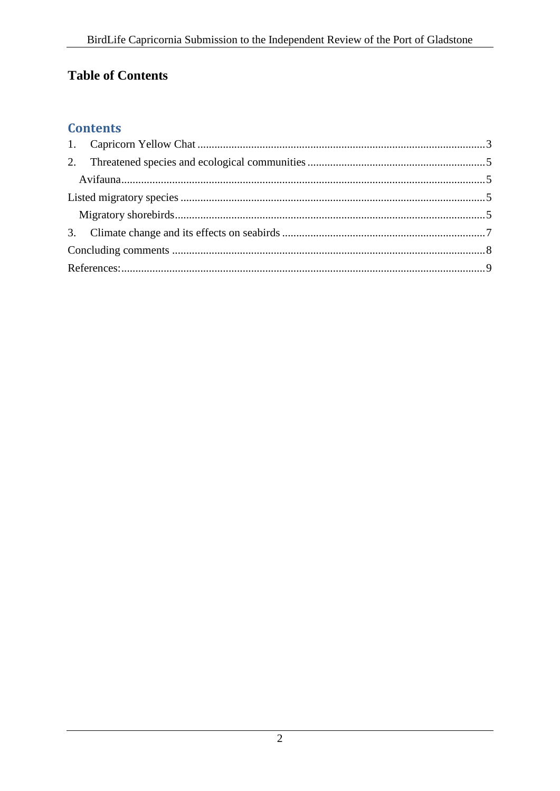# **Table of Contents**

## **Contents**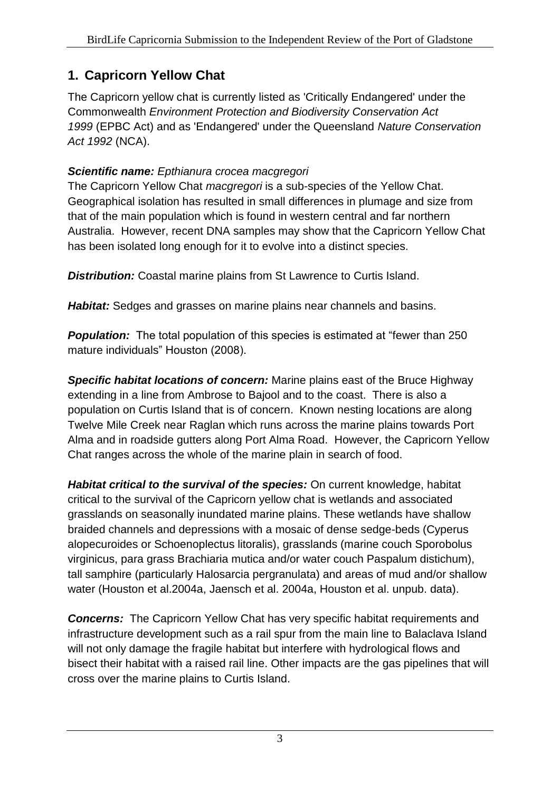# <span id="page-2-0"></span>**1. Capricorn Yellow Chat**

The Capricorn yellow chat is currently listed as 'Critically Endangered' under the Commonwealth *Environment Protection and Biodiversity Conservation Act 1999* (EPBC Act) and as 'Endangered' under the Queensland *Nature Conservation Act 1992* (NCA).

#### *Scientific name: Epthianura crocea macgregori*

The Capricorn Yellow Chat *macgregori* is a sub-species of the Yellow Chat. Geographical isolation has resulted in small differences in plumage and size from that of the main population which is found in western central and far northern Australia. However, recent DNA samples may show that the Capricorn Yellow Chat has been isolated long enough for it to evolve into a distinct species.

*Distribution:* Coastal marine plains from St Lawrence to Curtis Island.

*Habitat:* Sedges and grasses on marine plains near channels and basins.

**Population:** The total population of this species is estimated at "fewer than 250 mature individuals" Houston (2008).

*Specific habitat locations of concern:* Marine plains east of the Bruce Highway extending in a line from Ambrose to Bajool and to the coast. There is also a population on Curtis Island that is of concern. Known nesting locations are along Twelve Mile Creek near Raglan which runs across the marine plains towards Port Alma and in roadside gutters along Port Alma Road. However, the Capricorn Yellow Chat ranges across the whole of the marine plain in search of food.

*Habitat critical to the survival of the species:* On current knowledge, habitat critical to the survival of the Capricorn yellow chat is wetlands and associated grasslands on seasonally inundated marine plains. These wetlands have shallow braided channels and depressions with a mosaic of dense sedge-beds (Cyperus alopecuroides or Schoenoplectus litoralis), grasslands (marine couch Sporobolus virginicus, para grass Brachiaria mutica and/or water couch Paspalum distichum), tall samphire (particularly Halosarcia pergranulata) and areas of mud and/or shallow water (Houston et al.2004a, Jaensch et al. 2004a, Houston et al. unpub. data).

**Concerns:** The Capricorn Yellow Chat has very specific habitat requirements and infrastructure development such as a rail spur from the main line to Balaclava Island will not only damage the fragile habitat but interfere with hydrological flows and bisect their habitat with a raised rail line. Other impacts are the gas pipelines that will cross over the marine plains to Curtis Island.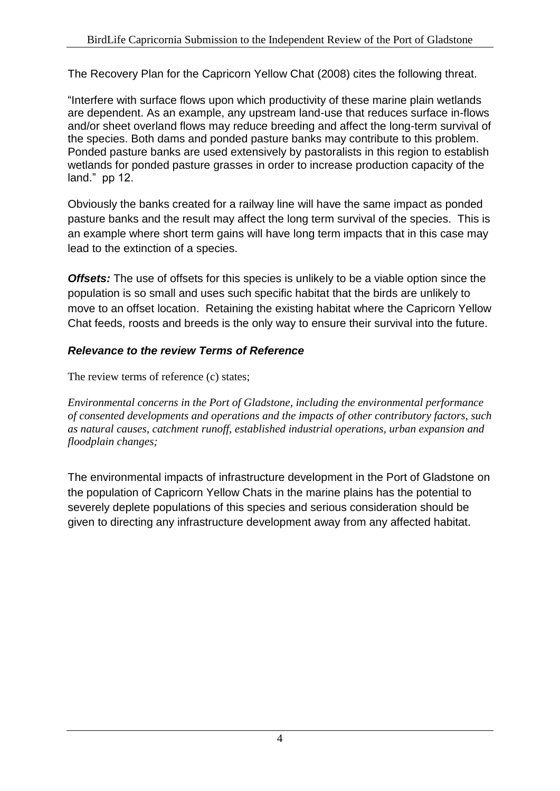The Recovery Plan for the Capricorn Yellow Chat (2008) cites the following threat.

"Interfere with surface flows upon which productivity of these marine plain wetlands are dependent. As an example, any upstream land-use that reduces surface in-flows and/or sheet overland flows may reduce breeding and affect the long-term survival of the species. Both dams and ponded pasture banks may contribute to this problem. Ponded pasture banks are used extensively by pastoralists in this region to establish wetlands for ponded pasture grasses in order to increase production capacity of the land." pp 12.

Obviously the banks created for a railway line will have the same impact as ponded pasture banks and the result may affect the long term survival of the species. This is an example where short term gains will have long term impacts that in this case may lead to the extinction of a species.

**Offsets:** The use of offsets for this species is unlikely to be a viable option since the population is so small and uses such specific habitat that the birds are unlikely to move to an offset location. Retaining the existing habitat where the Capricorn Yellow Chat feeds, roosts and breeds is the only way to ensure their survival into the future.

#### *Relevance to the review Terms of Reference*

The review terms of reference (c) states:

*Environmental concerns in the Port of Gladstone, including the environmental performance of consented developments and operations and the impacts of other contributory factors, such as natural causes, catchment runoff, established industrial operations, urban expansion and floodplain changes;*

The environmental impacts of infrastructure development in the Port of Gladstone on the population of Capricorn Yellow Chats in the marine plains has the potential to severely deplete populations of this species and serious consideration should be given to directing any infrastructure development away from any affected habitat.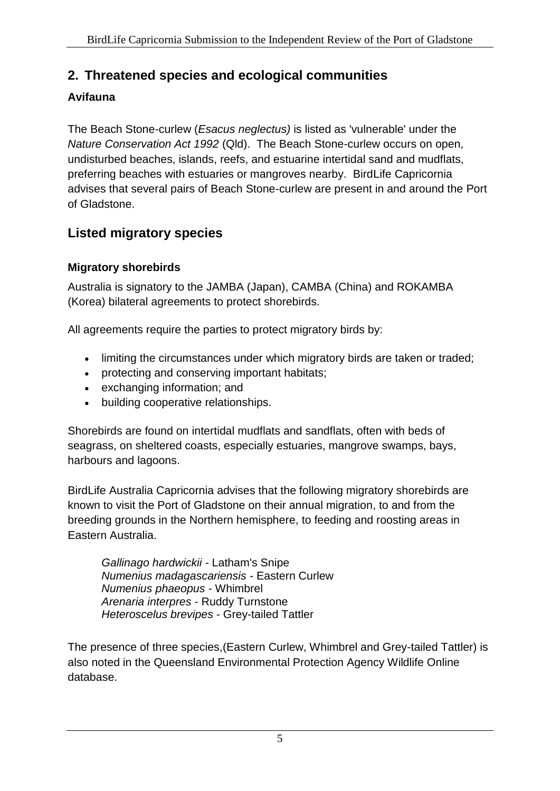## <span id="page-4-0"></span>**2. Threatened species and ecological communities**

#### <span id="page-4-1"></span>**Avifauna**

The Beach Stone-curlew (*Esacus neglectus)* is listed as 'vulnerable' under the *Nature Conservation Act 1992* (Qld). The Beach Stone-curlew occurs on open, undisturbed beaches, islands, reefs, and estuarine intertidal sand and mudflats, preferring beaches with estuaries or mangroves nearby. BirdLife Capricornia advises that several pairs of Beach Stone-curlew are present in and around the Port of Gladstone.

## <span id="page-4-2"></span>**Listed migratory species**

#### <span id="page-4-3"></span>**Migratory shorebirds**

Australia is signatory to the JAMBA (Japan), CAMBA (China) and ROKAMBA (Korea) bilateral agreements to protect shorebirds.

All agreements require the parties to protect migratory birds by:

- limiting the circumstances under which migratory birds are taken or traded;
- protecting and conserving important habitats;
- exchanging information; and
- building cooperative relationships.

Shorebirds are found on intertidal mudflats and sandflats, often with beds of seagrass, on sheltered coasts, especially estuaries, mangrove swamps, bays, harbours and lagoons.

BirdLife Australia Capricornia advises that the following migratory shorebirds are known to visit the Port of Gladstone on their annual migration, to and from the breeding grounds in the Northern hemisphere, to feeding and roosting areas in Eastern Australia.

*Gallinago hardwickii* - Latham's Snipe *Numenius madagascariensis* - Eastern Curlew *Numenius phaeopus* - Whimbrel *Arenaria interpres* - Ruddy Turnstone *Heteroscelus brevipes* - Grey-tailed Tattler

The presence of three species,(Eastern Curlew, Whimbrel and Grey-tailed Tattler) is also noted in the Queensland Environmental Protection Agency Wildlife Online database.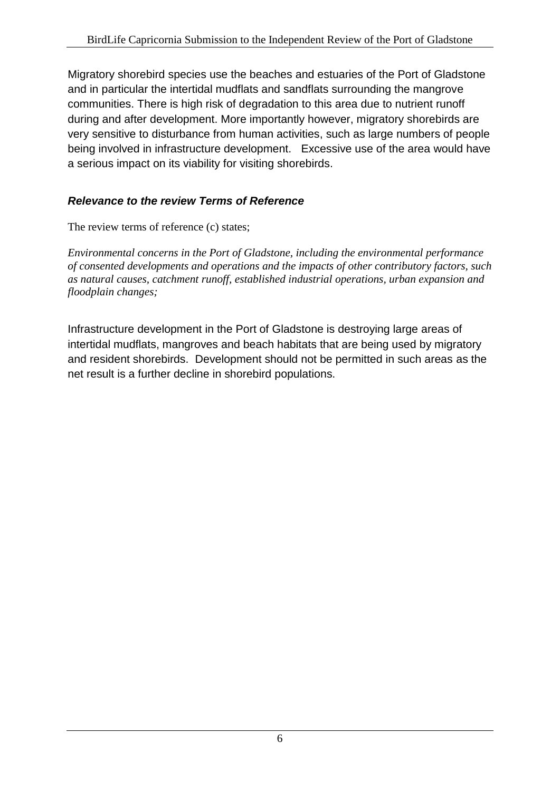Migratory shorebird species use the beaches and estuaries of the Port of Gladstone and in particular the intertidal mudflats and sandflats surrounding the mangrove communities. There is high risk of degradation to this area due to nutrient runoff during and after development. More importantly however, migratory shorebirds are very sensitive to disturbance from human activities, such as large numbers of people being involved in infrastructure development. Excessive use of the area would have a serious impact on its viability for visiting shorebirds.

#### *Relevance to the review Terms of Reference*

The review terms of reference (c) states;

*Environmental concerns in the Port of Gladstone, including the environmental performance of consented developments and operations and the impacts of other contributory factors, such as natural causes, catchment runoff, established industrial operations, urban expansion and floodplain changes;*

Infrastructure development in the Port of Gladstone is destroying large areas of intertidal mudflats, mangroves and beach habitats that are being used by migratory and resident shorebirds. Development should not be permitted in such areas as the net result is a further decline in shorebird populations.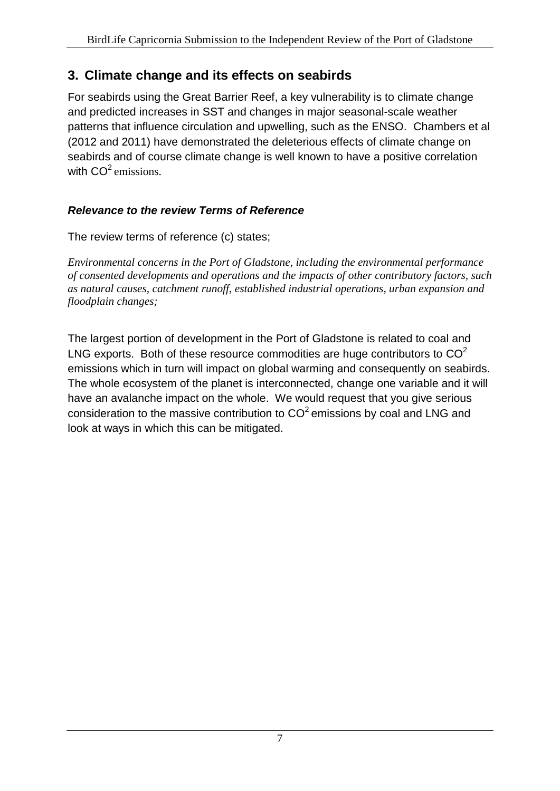## <span id="page-6-0"></span>**3. Climate change and its effects on seabirds**

For seabirds using the Great Barrier Reef, a key vulnerability is to climate change and predicted increases in SST and changes in major seasonal-scale weather patterns that influence circulation and upwelling, such as the ENSO. Chambers et al (2012 and 2011) have demonstrated the deleterious effects of climate change on seabirds and of course climate change is well known to have a positive correlation with  $CO<sup>2</sup>$  emissions.

#### *Relevance to the review Terms of Reference*

The review terms of reference (c) states;

*Environmental concerns in the Port of Gladstone, including the environmental performance of consented developments and operations and the impacts of other contributory factors, such as natural causes, catchment runoff, established industrial operations, urban expansion and floodplain changes;*

The largest portion of development in the Port of Gladstone is related to coal and LNG exports. Both of these resource commodities are huge contributors to  $CO<sup>2</sup>$ emissions which in turn will impact on global warming and consequently on seabirds. The whole ecosystem of the planet is interconnected, change one variable and it will have an avalanche impact on the whole. We would request that you give serious consideration to the massive contribution to  $CO<sup>2</sup>$  emissions by coal and LNG and look at ways in which this can be mitigated.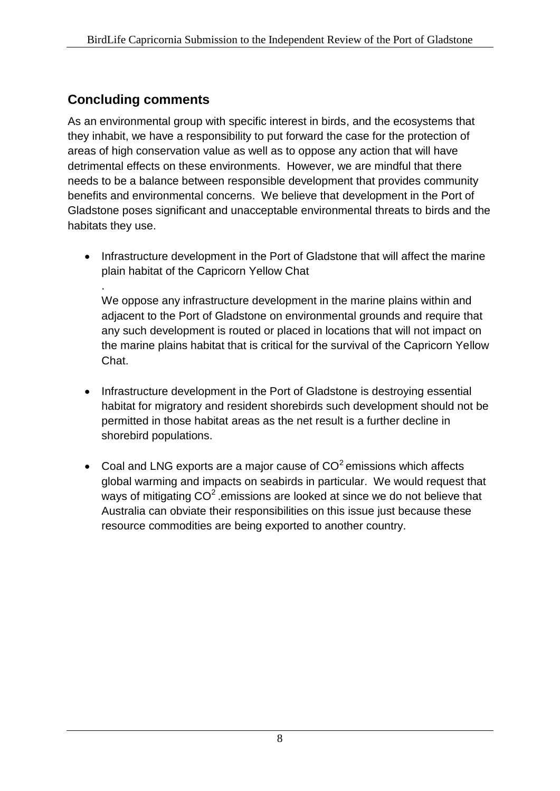## <span id="page-7-0"></span>**Concluding comments**

.

As an environmental group with specific interest in birds, and the ecosystems that they inhabit, we have a responsibility to put forward the case for the protection of areas of high conservation value as well as to oppose any action that will have detrimental effects on these environments. However, we are mindful that there needs to be a balance between responsible development that provides community benefits and environmental concerns. We believe that development in the Port of Gladstone poses significant and unacceptable environmental threats to birds and the habitats they use.

• Infrastructure development in the Port of Gladstone that will affect the marine plain habitat of the Capricorn Yellow Chat

We oppose any infrastructure development in the marine plains within and adjacent to the Port of Gladstone on environmental grounds and require that any such development is routed or placed in locations that will not impact on the marine plains habitat that is critical for the survival of the Capricorn Yellow Chat.

- Infrastructure development in the Port of Gladstone is destroying essential habitat for migratory and resident shorebirds such development should not be permitted in those habitat areas as the net result is a further decline in shorebird populations.
- Coal and LNG exports are a major cause of  $CO<sup>2</sup>$  emissions which affects global warming and impacts on seabirds in particular. We would request that ways of mitigating  $CO^2$  emissions are looked at since we do not believe that Australia can obviate their responsibilities on this issue just because these resource commodities are being exported to another country.